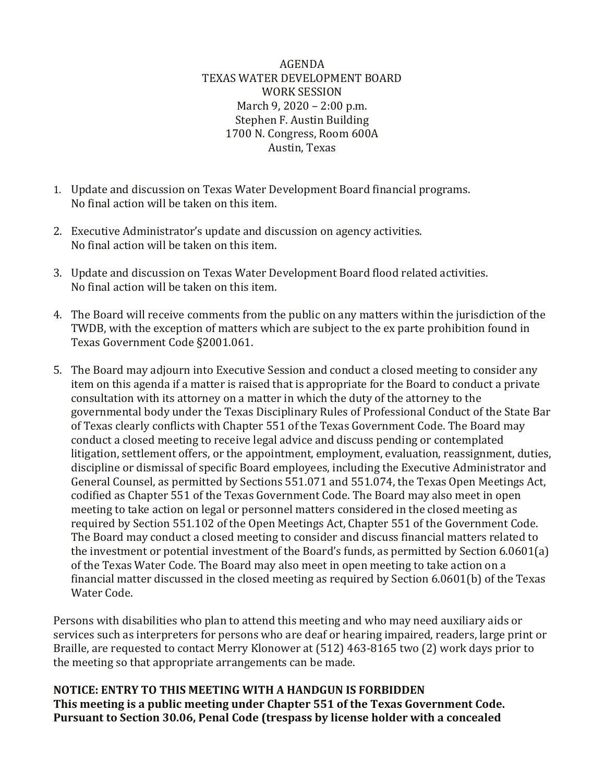AGENDA TEXAS WATER DEVELOPMENT BOARD WORK SESSION March 9, 2020 – 2:00 p.m. Stephen F. Austin Building 1700 N. Congress, Room 600A Austin, Texas

- 1. Update and discussion on Texas Water Development Board financial programs. No final action will be taken on this item.
- 2. Executive Administrator's update and discussion on agency activities. No final action will be taken on this item.
- 3. Update and discussion on Texas Water Development Board flood related activities. No final action will be taken on this item.
- 4. The Board will receive comments from the public on any matters within the jurisdiction of the TWDB, with the exception of matters which are subject to the ex parte prohibition found in Texas Government Code §2001.061.
- 5. The Board may adjourn into Executive Session and conduct a closed meeting to consider any item on this agenda if a matter is raised that is appropriate for the Board to conduct a private consultation with its attorney on a matter in which the duty of the attorney to the governmental body under the Texas Disciplinary Rules of Professional Conduct of the State Bar of Texas clearly conflicts with Chapter 551 of the Texas Government Code. The Board may conduct a closed meeting to receive legal advice and discuss pending or contemplated litigation, settlement offers, or the appointment, employment, evaluation, reassignment, duties, discipline or dismissal of specific Board employees, including the Executive Administrator and General Counsel, as permitted by Sections 551.071 and 551.074, the Texas Open Meetings Act, codified as Chapter 551 of the Texas Government Code. The Board may also meet in open meeting to take action on legal or personnel matters considered in the closed meeting as required by Section 551.102 of the Open Meetings Act, Chapter 551 of the Government Code. The Board may conduct a closed meeting to consider and discuss financial matters related to the investment or potential investment of the Board's funds, as permitted by Section 6.0601(a) of the Texas Water Code. The Board may also meet in open meeting to take action on a financial matter discussed in the closed meeting as required by Section 6.0601(b) of the Texas Water Code.

Persons with disabilities who plan to attend this meeting and who may need auxiliary aids or services such as interpreters for persons who are deaf or hearing impaired, readers, large print or Braille, are requested to contact Merry Klonower at (512) 463-8165 two (2) work days prior to the meeting so that appropriate arrangements can be made.

**NOTICE: ENTRY TO THIS MEETING WITH A HANDGUN IS FORBIDDEN This meeting is a public meeting under Chapter 551 of the Texas Government Code. Pursuant to Section 30.06, Penal Code (trespass by license holder with a concealed**